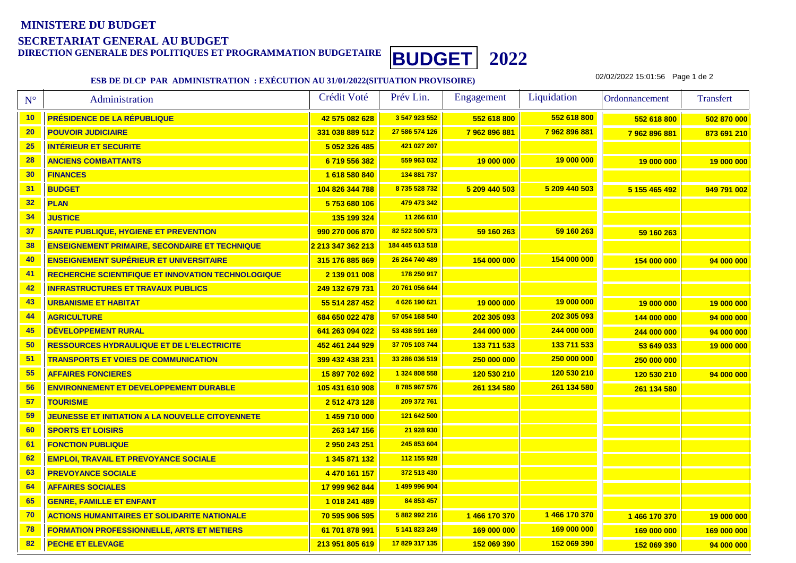## **MINISTERE DU BUDGETSECRETARIAT GENERAL AU BUDGET**



## **ESB DE DLCP PAR ADMINISTRATION : EXÉCUTION AU 31/01/2022(SITUATION PROVISOIRE)**

02/02/2022 15:01:56 Page 1 de 2

| $N^{\circ}$ | Administration                                            | Crédit Voté       | Prév Lin.       | Engagement    | Liquidation   | Ordonnancement | <b>Transfert</b> |
|-------------|-----------------------------------------------------------|-------------------|-----------------|---------------|---------------|----------------|------------------|
| 10          | PRÉSIDENCE DE LA RÉPUBLIQUE                               | 42 575 082 628    | 3 547 923 552   | 552 618 800   | 552 618 800   | 552 618 800    | 502 870 000      |
| 20          | <b>POUVOIR JUDICIAIRE</b>                                 | 331 038 889 512   | 27 586 574 126  | 7962896881    | 7962896881    | 7962896881     | 873 691 210      |
| 25          | <b>INTÉRIEUR ET SECURITE</b>                              | 5 052 326 485     | 421 027 207     |               |               |                |                  |
| 28          | <b>ANCIENS COMBATTANTS</b>                                | 6719556382        | 559 963 032     | 19 000 000    | 19 000 000    | 19 000 000     | 19 000 000       |
| 30          | <b>FINANCES</b>                                           | 1 618 580 840     | 134 881 737     |               |               |                |                  |
| 31          | <b>BUDGET</b>                                             | 104 826 344 788   | 8735528732      | 5 209 440 503 | 5 209 440 503 | 5 155 465 492  | 949 791 002      |
| 32          | <b>PLAN</b>                                               | 5753680106        | 479 473 342     |               |               |                |                  |
| 34          | <b>JUSTICE</b>                                            | 135 199 324       | 11 266 610      |               |               |                |                  |
| 37          | <b>SANTE PUBLIQUE, HYGIENE ET PREVENTION</b>              | 990 270 006 870   | 82 522 500 573  | 59 160 263    | 59 160 263    | 59 160 263     |                  |
| 38          | <b>ENSEIGNEMENT PRIMAIRE, SECONDAIRE ET TECHNIQUE</b>     | 2 213 347 362 213 | 184 445 613 518 |               |               |                |                  |
| 40          | <b>ENSEIGNEMENT SUPÉRIEUR ET UNIVERSITAIRE</b>            | 315 176 885 869   | 26 264 740 489  | 154 000 000   | 154 000 000   | 154 000 000    | 94 000 000       |
| 41          | <b>RECHERCHE SCIENTIFIQUE ET INNOVATION TECHNOLOGIQUE</b> | 2 139 011 008     | 178 250 917     |               |               |                |                  |
| 42          | <b>INFRASTRUCTURES ET TRAVAUX PUBLICS</b>                 | 249 132 679 731   | 20 761 056 644  |               |               |                |                  |
| 43          | <b>URBANISME ET HABITAT</b>                               | 55 514 287 452    | 4626 190 621    | 19 000 000    | 19 000 000    | 19 000 000     | 19 000 000       |
| 44          | <b>AGRICULTURE</b>                                        | 684 650 022 478   | 57 054 168 540  | 202 305 093   | 202 305 093   | 144 000 000    | 94 000 000       |
| 45          | <b>DÉVELOPPEMENT RURAL</b>                                | 641 263 094 022   | 53 438 591 169  | 244 000 000   | 244 000 000   | 244 000 000    | 94 000 000       |
| 50          | <b>RESSOURCES HYDRAULIQUE ET DE L'ELECTRICITE</b>         | 452 461 244 929   | 37 705 103 744  | 133 711 533   | 133 711 533   | 53 649 033     | 19 000 000       |
| 51          | <b>TRANSPORTS ET VOIES DE COMMUNICATION</b>               | 399 432 438 231   | 33 286 036 519  | 250 000 000   | 250 000 000   | 250 000 000    |                  |
| 55          | <b>AFFAIRES FONCIERES</b>                                 | 15 897 702 692    | 1 324 808 558   | 120 530 210   | 120 530 210   | 120 530 210    | 94 000 000       |
| 56          | <b>ENVIRONNEMENT ET DEVELOPPEMENT DURABLE</b>             | 105 431 610 908   | 8785967576      | 261 134 580   | 261 134 580   | 261 134 580    |                  |
| 57          | <b>TOURISME</b>                                           | 2 512 473 128     | 209 372 761     |               |               |                |                  |
| 59          | <b>JEUNESSE ET INITIATION A LA NOUVELLE CITOYENNETE</b>   | 1 459 710 000     | 121 642 500     |               |               |                |                  |
| 60          | <b>SPORTS ET LOISIRS</b>                                  | 263 147 156       | 21 928 930      |               |               |                |                  |
| 61          | <b>FONCTION PUBLIQUE</b>                                  | 2 950 243 251     | 245 853 604     |               |               |                |                  |
| 62          | <b>EMPLOI, TRAVAIL ET PREVOYANCE SOCIALE</b>              | 1 345 871 132     | 112 155 928     |               |               |                |                  |
| 63          | <b>PREVOYANCE SOCIALE</b>                                 | 4 470 161 157     | 372 513 430     |               |               |                |                  |
| 64          | <b>AFFAIRES SOCIALES</b>                                  | 17 999 962 844    | 1 499 996 904   |               |               |                |                  |
| 65          | <b>GENRE, FAMILLE ET ENFANT</b>                           | 1018 241 489      | 84 853 457      |               |               |                |                  |
| 70          | <b>ACTIONS HUMANITAIRES ET SOLIDARITE NATIONALE</b>       | 70 595 906 595    | 5 882 992 216   | 1466 170 370  | 1466 170 370  | 1466170370     | 19 000 000       |
| 78          | <b>FORMATION PROFESSIONNELLE, ARTS ET METIERS</b>         | 61 701 878 991    | 5 141 823 249   | 169 000 000   | 169 000 000   | 169 000 000    | 169 000 000      |
| 82          | <b>PECHE ET ELEVAGE</b>                                   | 213 951 805 619   | 17 829 317 135  | 152 069 390   | 152 069 390   | 152 069 390    | 94 000 000       |